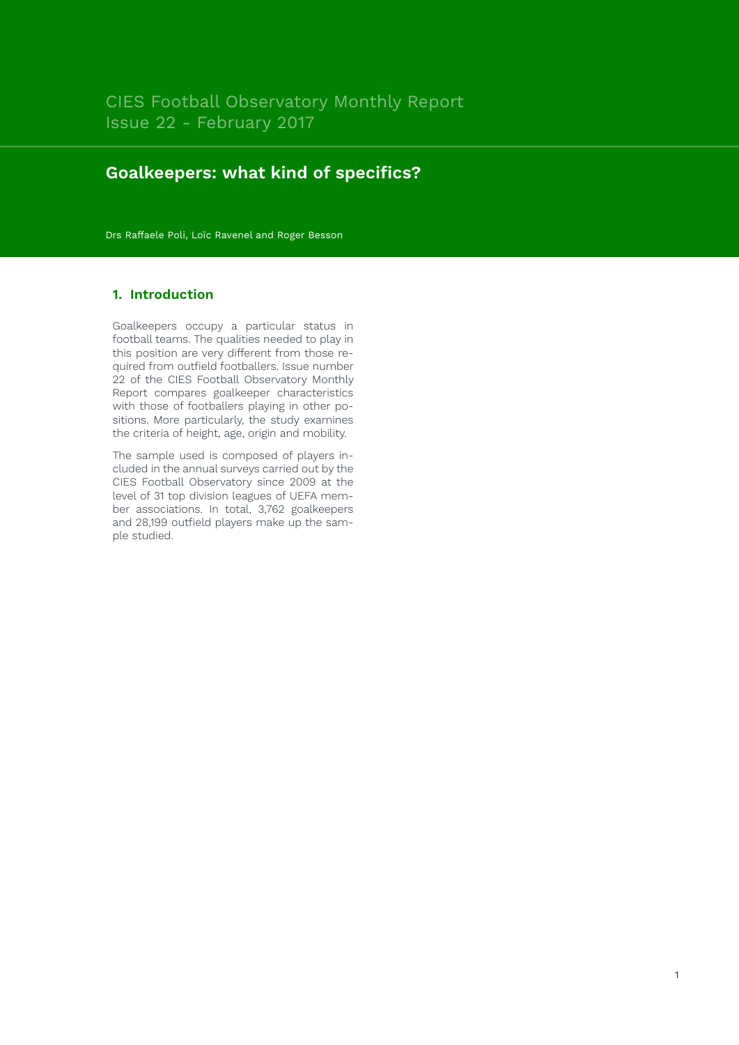# **Goalkeepers: what kind of specifics?**

Drs Raffaele Poli, Loïc Ravenel and Roger Besson

## **1. Introduction**

Goalkeepers occupy a particular status in football teams. The qualities needed to play in this position are very different from those required from outfield footballers. Issue number 22 of the CIES Football Observatory Monthly Report compares goalkeeper characteristics with those of footballers playing in other positions. More particularly, the study examines the criteria of height, age, origin and mobility.

The sample used is composed of players included in the annual surveys carried out by the CIES Football Observatory since 2009 at the level of 31 top division leagues of UEFA member associations. In total, 3,762 goalkeepers and 28,199 outfield players make up the sample studied.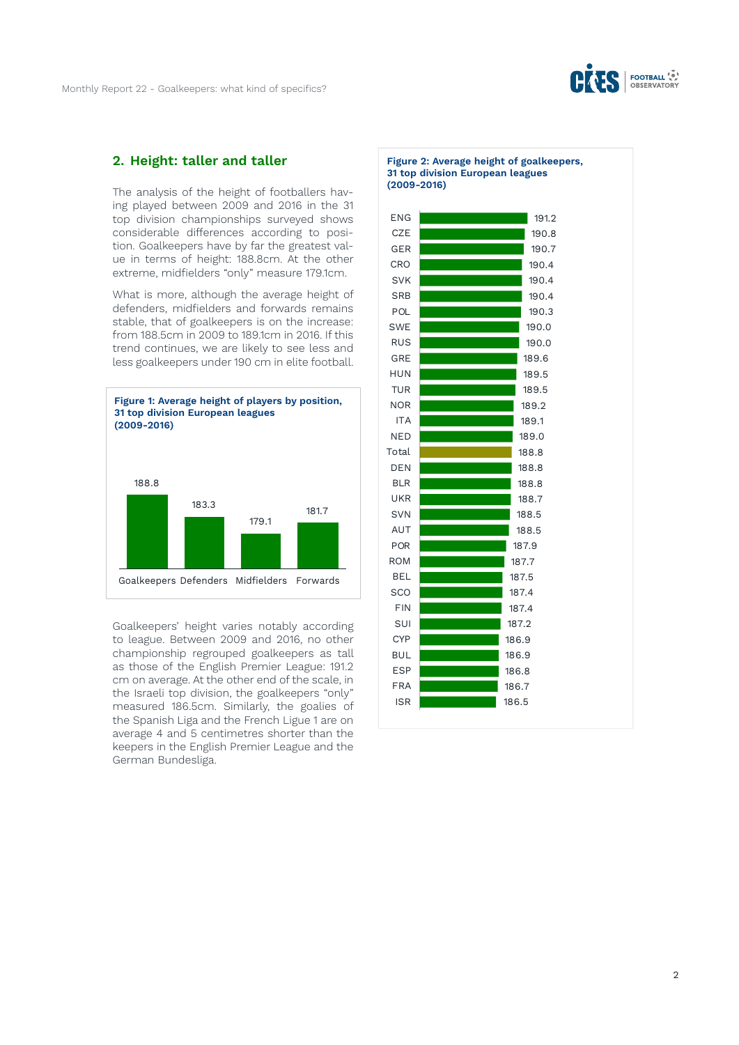

#### **2. Height: taller and taller**

The analysis of the height of footballers having played between 2009 and 2016 in the 31 top division championships surveyed shows considerable differences according to position. Goalkeepers have by far the greatest value in terms of height: 188.8cm. At the other extreme, midfielders "only" measure 179.1cm.

What is more, although the average height of defenders, midfielders and forwards remains stable, that of goalkeepers is on the increase: from 188.5cm in 2009 to 189.1cm in 2016. If this trend continues, we are likely to see less and less goalkeepers under 190 cm in elite football.



Goalkeepers' height varies notably according to league. Between 2009 and 2016, no other championship regrouped goalkeepers as tall as those of the English Premier League: 191.2 cm on average. At the other end of the scale, in the Israeli top division, the goalkeepers "only" measured 186.5cm. Similarly, the goalies of the Spanish Liga and the French Ligue 1 are on average 4 and 5 centimetres shorter than the keepers in the English Premier League and the German Bundesliga.

**Figure 2: Average height of goalkeepers, 31 top division European leagues (2009-2016)**

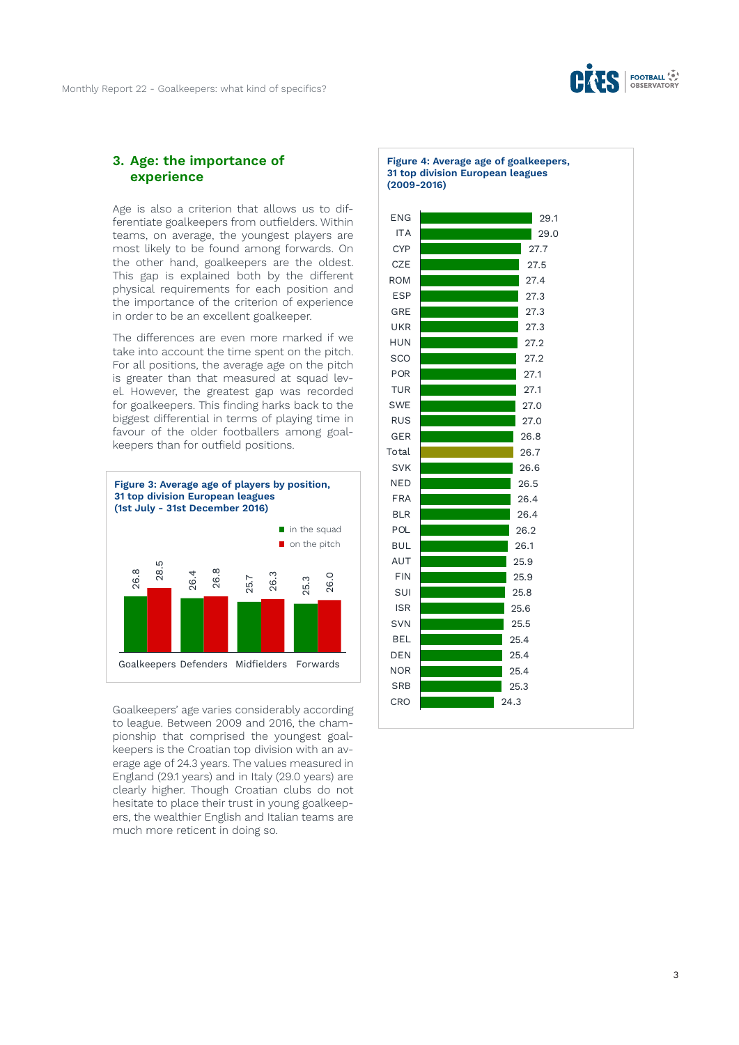

#### **3. Age: the importance of experience**

Age is also a criterion that allows us to differentiate goalkeepers from outfielders. Within teams, on average, the youngest players are most likely to be found among forwards. On the other hand, goalkeepers are the oldest. This gap is explained both by the different physical requirements for each position and the importance of the criterion of experience in order to be an excellent goalkeeper.

The differences are even more marked if we take into account the time spent on the pitch. For all positions, the average age on the pitch is greater than that measured at squad level. However, the greatest gap was recorded for goalkeepers. This finding harks back to the biggest differential in terms of playing time in favour of the older footballers among goalkeepers than for outfield positions.



Goalkeepers' age varies considerably according to league. Between 2009 and 2016, the championship that comprised the youngest goalkeepers is the Croatian top division with an average age of 24.3 years. The values measured in England (29.1 years) and in Italy (29.0 years) are clearly higher. Though Croatian clubs do not hesitate to place their trust in young goalkeepers, the wealthier English and Italian teams are much more reticent in doing so.

**Figure 4: Average age of goalkeepers, 31 top division European leagues (2009-2016)**

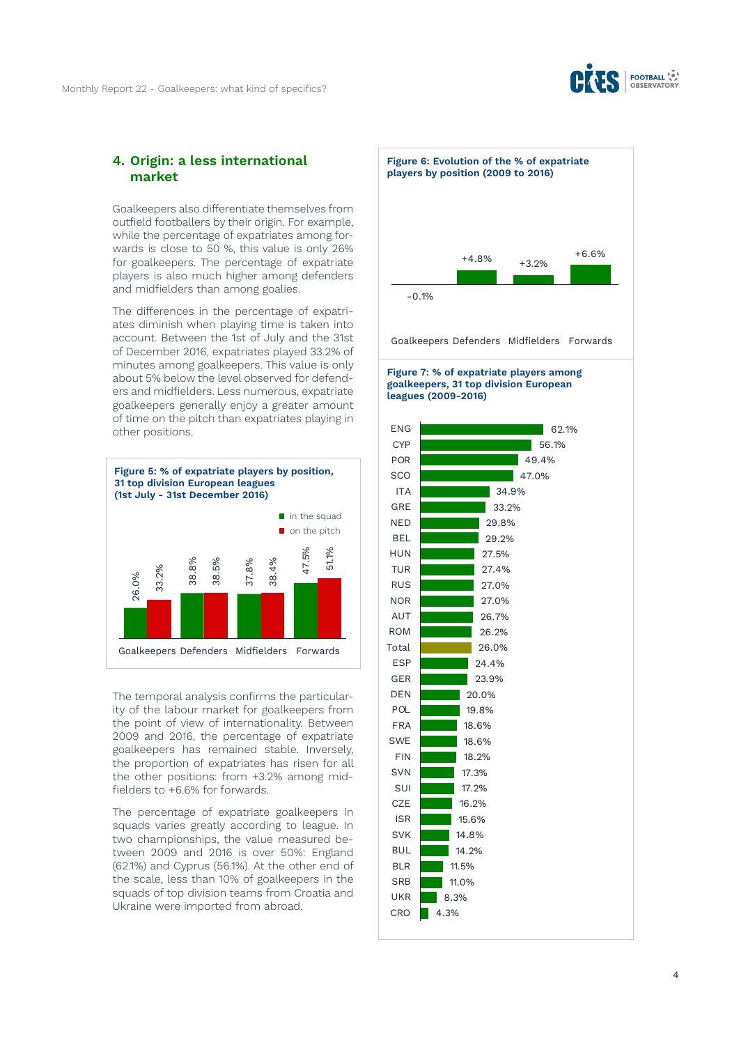

#### **4. Origin: a less international market**

Goalkeepers also differentiate themselves from outfield footballers by their origin. For example, while the percentage of expatriates among forwards is close to 50 %, this value is only 26% for goalkeepers. The percentage of expatriate players is also much higher among defenders and midfielders than among goalies.

The differences in the percentage of expatriates diminish when playing time is taken into account. Between the 1st of July and the 31st of December 2016, expatriates played 33.2% of minutes among goalkeepers. This value is only about 5% below the level observed for defenders and midfielders. Less numerous, expatriate goalkeepers generally enjoy a greater amount of time on the pitch than expatriates playing in other positions.



The temporal analysis confirms the particularity of the labour market for goalkeepers from the point of view of internationality. Between 2009 and 2016, the percentage of expatriate goalkeepers has remained stable. Inversely, the proportion of expatriates has risen for all the other positions: from +3.2% among midfielders to +6.6% for forwards.

The percentage of expatriate goalkeepers in squads varies greatly according to league. In two championships, the value measured between 2009 and 2016 is over 50%: England (62.1%) and Cyprus (56.1%). At the other end of the scale, less than 10% of goalkeepers in the squads of top division teams from Croatia and Ukraine were imported from abroad.





#### **Figure 7: % of expatriate players among goalkeepers, 31 top division European leagues (2009-2016)**

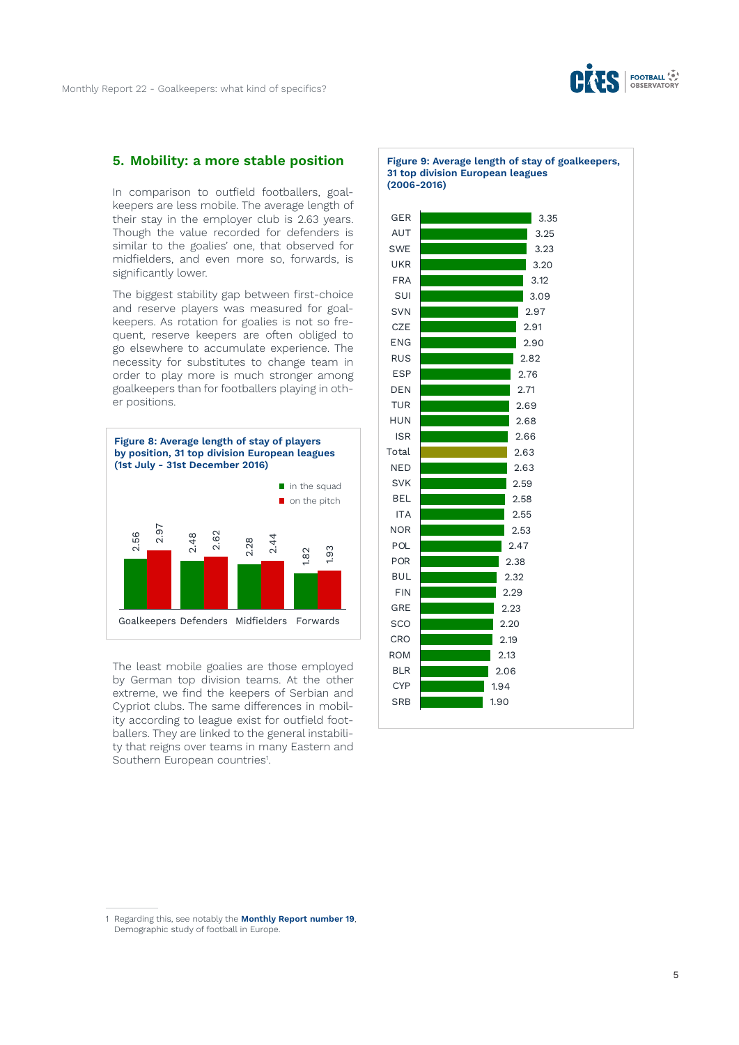

#### **5. Mobility: a more stable position**

In comparison to outfield footballers, goalkeepers are less mobile. The average length of their stay in the employer club is 2.63 years. Though the value recorded for defenders is similar to the goalies' one, that observed for midfielders, and even more so, forwards, is significantly lower.

The biggest stability gap between first-choice and reserve players was measured for goalkeepers. As rotation for goalies is not so frequent, reserve keepers are often obliged to go elsewhere to accumulate experience. The necessity for substitutes to change team in order to play more is much stronger among goalkeepers than for footballers playing in other positions.



The least mobile goalies are those employed by German top division teams. At the other extreme, we find the keepers of Serbian and Cypriot clubs. The same differences in mobility according to league exist for outfield footballers. They are linked to the general instability that reigns over teams in many Eastern and Southern European countries<sup>1</sup>.

**Figure 9: Average length of stay of goalkeepers, 31 top division European leagues (2006-2016)**



<sup>1</sup> Regarding this, see notably the **[Monthly Report number 19](http://www.football-observatory.com/IMG/sites/mr/mr19/en/)**, Demographic study of football in Europe.